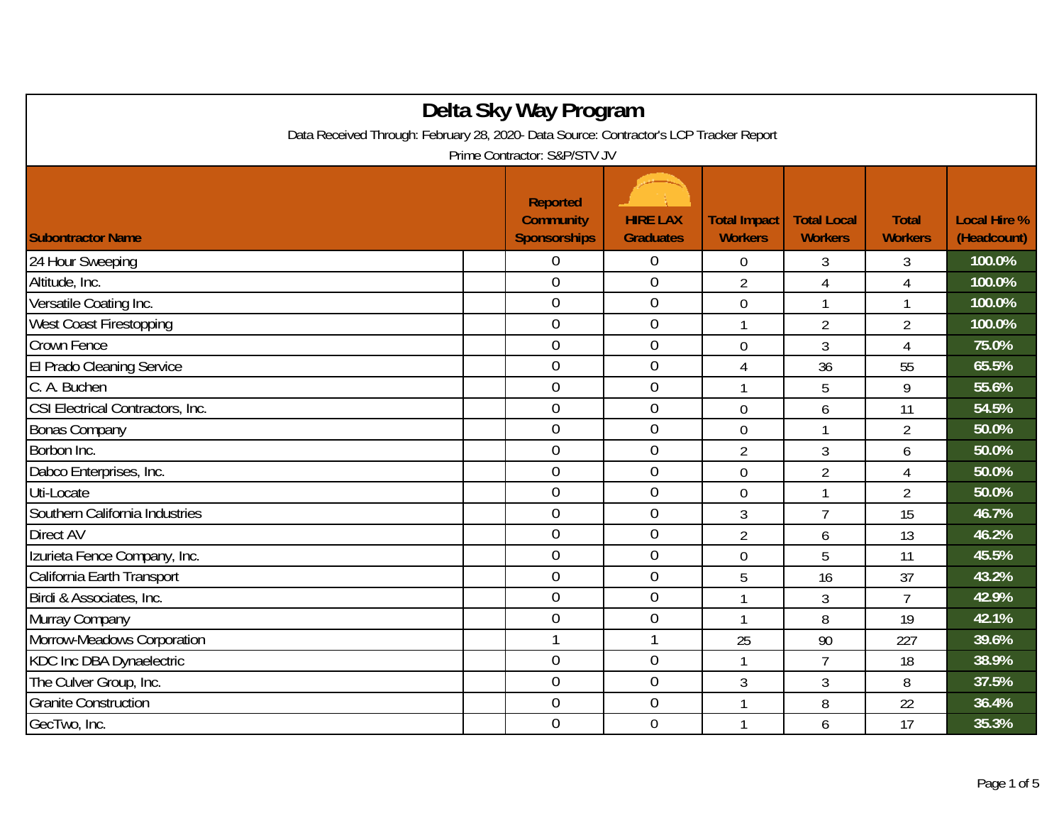| Delta Sky Way Program                                                                  |  |                                                            |                                     |                                       |                                      |                                |                                    |  |
|----------------------------------------------------------------------------------------|--|------------------------------------------------------------|-------------------------------------|---------------------------------------|--------------------------------------|--------------------------------|------------------------------------|--|
| Data Received Through: February 28, 2020- Data Source: Contractor's LCP Tracker Report |  |                                                            |                                     |                                       |                                      |                                |                                    |  |
| Prime Contractor: S&P/STV JV                                                           |  |                                                            |                                     |                                       |                                      |                                |                                    |  |
| <b>Subontractor Name</b>                                                               |  | <b>Reported</b><br><b>Community</b><br><b>Sponsorships</b> | <b>HIRE LAX</b><br><b>Graduates</b> | <b>Total Impact</b><br><b>Workers</b> | <b>Total Local</b><br><b>Workers</b> | <b>Total</b><br><b>Workers</b> | <b>Local Hire %</b><br>(Headcount) |  |
| 24 Hour Sweeping                                                                       |  | 0                                                          | $\overline{0}$                      | 0                                     | 3                                    | 3                              | 100.0%                             |  |
| Altitude, Inc.                                                                         |  | $\overline{0}$                                             | $\boldsymbol{0}$                    | $\overline{2}$                        | $\overline{4}$                       | $\sqrt{4}$                     | 100.0%                             |  |
| Versatile Coating Inc.                                                                 |  | $\overline{0}$                                             | $\mathbf 0$                         | $\overline{0}$                        | $\mathbf{1}$                         | $\mathbf{1}$                   | 100.0%                             |  |
| <b>West Coast Firestopping</b>                                                         |  | $\overline{0}$                                             | $\mathbf 0$                         | $\mathbf{1}$                          | $\overline{2}$                       | $\overline{2}$                 | 100.0%                             |  |
| Crown Fence                                                                            |  | $\overline{0}$                                             | $\mathbf 0$                         | $\overline{0}$                        | $\mathfrak{Z}$                       | $\overline{4}$                 | 75.0%                              |  |
| El Prado Cleaning Service                                                              |  | $\overline{0}$                                             | $\boldsymbol{0}$                    | 4                                     | 36                                   | 55                             | 65.5%                              |  |
| C. A. Buchen                                                                           |  | $\overline{0}$                                             | $\mathbf 0$                         | 1                                     | 5                                    | 9                              | 55.6%                              |  |
| CSI Electrical Contractors, Inc.                                                       |  | $\overline{0}$                                             | $\mathbf 0$                         | $\overline{0}$                        | 6                                    | 11                             | 54.5%                              |  |
| <b>Bonas Company</b>                                                                   |  | $\overline{0}$                                             | $\boldsymbol{0}$                    | $\mathbf 0$                           |                                      | $\overline{2}$                 | 50.0%                              |  |
| Borbon Inc.                                                                            |  | $\overline{0}$                                             | $\overline{0}$                      | $\overline{2}$                        | 3                                    | 6                              | 50.0%                              |  |
| Dabco Enterprises, Inc.                                                                |  | $\overline{0}$                                             | $\boldsymbol{0}$                    | $\mathbf 0$                           | $\overline{2}$                       | 4                              | 50.0%                              |  |
| Uti-Locate                                                                             |  | $\theta$                                                   | $\boldsymbol{0}$                    | $\mathbf 0$                           | $\mathbf{1}$                         | $\overline{2}$                 | 50.0%                              |  |
| Southern California Industries                                                         |  | $\overline{0}$                                             | $\overline{0}$                      | 3                                     | $\overline{7}$                       | 15                             | 46.7%                              |  |
| Direct AV                                                                              |  | $\overline{0}$                                             | $\overline{0}$                      | $\overline{2}$                        | 6                                    | 13                             | 46.2%                              |  |
| Izurieta Fence Company, Inc.                                                           |  | $\overline{0}$                                             | $\mathbf 0$                         | $\overline{0}$                        | 5                                    | 11                             | 45.5%                              |  |
| California Earth Transport                                                             |  | $\overline{0}$                                             | $\boldsymbol{0}$                    | 5                                     | 16                                   | 37                             | 43.2%                              |  |
| Birdi & Associates, Inc.                                                               |  | $\overline{0}$                                             | $\mathbf 0$                         | $\mathbf{1}$                          | 3                                    | $\overline{7}$                 | 42.9%                              |  |
| Murray Company                                                                         |  | $\overline{0}$                                             | $\boldsymbol{0}$                    | $\mathbf{1}$                          | 8                                    | 19                             | 42.1%                              |  |
| Morrow-Meadows Corporation                                                             |  | 1                                                          | $\mathbf{1}$                        | 25                                    | 90                                   | 227                            | 39.6%                              |  |
| KDC Inc DBA Dynaelectric                                                               |  | $\mathbf 0$                                                | $\boldsymbol{0}$                    | $\mathbf{1}$                          | $\overline{7}$                       | 18                             | 38.9%                              |  |
| The Culver Group, Inc.                                                                 |  | $\mathbf 0$                                                | $\mathbf 0$                         | 3                                     | 3                                    | 8                              | 37.5%                              |  |
| <b>Granite Construction</b>                                                            |  | $\overline{0}$                                             | $\mathbf 0$                         | 1                                     | 8                                    | 22                             | 36.4%                              |  |
| GecTwo, Inc.                                                                           |  | $\overline{0}$                                             | $\mathbf 0$                         | 1                                     | 6                                    | 17                             | 35.3%                              |  |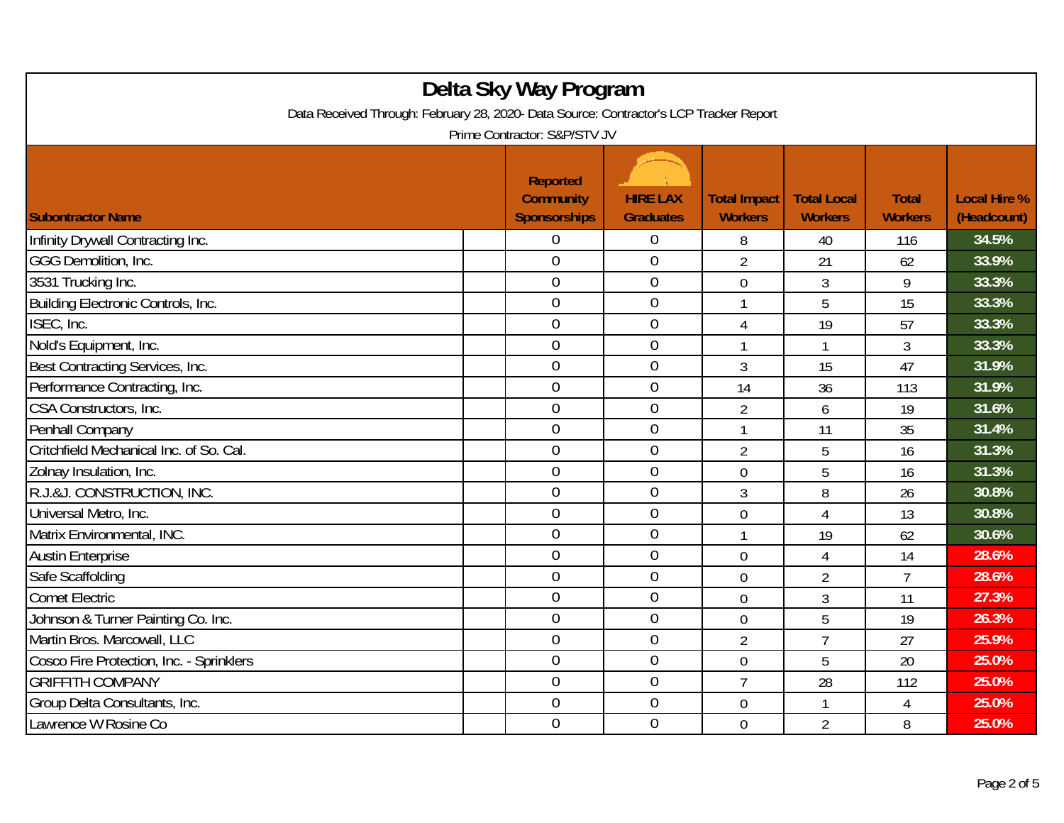| Delta Sky Way Program<br>Data Received Through: February 28, 2020- Data Source: Contractor's LCP Tracker Report<br>Prime Contractor: S&P/STV JV |  |                                                            |                                     |                                       |                                      |                                |                                    |  |
|-------------------------------------------------------------------------------------------------------------------------------------------------|--|------------------------------------------------------------|-------------------------------------|---------------------------------------|--------------------------------------|--------------------------------|------------------------------------|--|
| <b>Subontractor Name</b>                                                                                                                        |  | <b>Reported</b><br><b>Community</b><br><b>Sponsorships</b> | <b>HIRE LAX</b><br><b>Graduates</b> | <b>Total Impact</b><br><b>Workers</b> | <b>Total Local</b><br><b>Workers</b> | <b>Total</b><br><b>Workers</b> | <b>Local Hire %</b><br>(Headcount) |  |
| Infinity Drywall Contracting Inc.                                                                                                               |  | 0                                                          | 0                                   | 8                                     | 40                                   | 116                            | 34.5%                              |  |
| GGG Demolition, Inc.                                                                                                                            |  | $\overline{0}$                                             | $\overline{0}$                      | $\overline{2}$                        | 21                                   | 62                             | 33.9%                              |  |
| 3531 Trucking Inc.                                                                                                                              |  | $\overline{0}$                                             | $\boldsymbol{0}$                    | $\overline{0}$                        | 3                                    | 9                              | 33.3%                              |  |
| Building Electronic Controls, Inc.                                                                                                              |  | $\mathbf 0$                                                | $\boldsymbol{0}$                    | $\mathbf{1}$                          | 5                                    | 15                             | 33.3%                              |  |
| ISEC, Inc.                                                                                                                                      |  | $\mathbf 0$                                                | $\overline{0}$                      | 4                                     | 19                                   | 57                             | 33.3%                              |  |
| Nold's Equipment, Inc.                                                                                                                          |  | $\overline{0}$                                             | $\mathbf 0$                         | 1                                     |                                      | 3                              | 33.3%                              |  |
| Best Contracting Services, Inc.                                                                                                                 |  | $\overline{0}$                                             | $\overline{0}$                      | 3                                     | 15                                   | 47                             | 31.9%                              |  |
| Performance Contracting, Inc.                                                                                                                   |  | $\overline{0}$                                             | $\overline{0}$                      | 14                                    | 36                                   | 113                            | 31.9%                              |  |
| CSA Constructors, Inc.                                                                                                                          |  | $\overline{0}$                                             | $\mathbf 0$                         | $\overline{2}$                        | 6                                    | 19                             | 31.6%                              |  |
| Penhall Company                                                                                                                                 |  | $\mathbf 0$                                                | $\theta$                            | $\mathbf{1}$                          | 11                                   | 35                             | 31.4%                              |  |
| Critchfield Mechanical Inc. of So. Cal.                                                                                                         |  | $\overline{0}$                                             | $\overline{0}$                      | $\overline{2}$                        | 5                                    | 16                             | 31.3%                              |  |
| Zolnay Insulation, Inc.                                                                                                                         |  | $\mathbf 0$                                                | $\mathbf 0$                         | 0                                     | 5                                    | 16                             | 31.3%                              |  |
| R.J.&J. CONSTRUCTION, INC.                                                                                                                      |  | $\overline{0}$                                             | $\theta$                            | 3                                     | 8                                    | 26                             | 30.8%                              |  |
| Universal Metro, Inc.                                                                                                                           |  | $\overline{0}$                                             | $\mathbf 0$                         | $\overline{0}$                        | $\overline{4}$                       | 13                             | 30.8%                              |  |
| Matrix Environmental, INC.                                                                                                                      |  | $\boldsymbol{0}$                                           | $\boldsymbol{0}$                    | 1                                     | 19                                   | 62                             | 30.6%                              |  |
| <b>Austin Enterprise</b>                                                                                                                        |  | $\overline{0}$                                             | $\mathbf 0$                         | $\overline{0}$                        | $\overline{4}$                       | 14                             | 28.6%                              |  |
| Safe Scaffolding                                                                                                                                |  | $\mathbf 0$                                                | $\mathbf 0$                         | $\overline{0}$                        | $\overline{2}$                       | $\overline{7}$                 | 28.6%                              |  |
| <b>Comet Electric</b>                                                                                                                           |  | $\overline{0}$                                             | $\overline{0}$                      | $\overline{0}$                        | 3                                    | 11                             | 27.3%                              |  |
| Johnson & Turner Painting Co. Inc.                                                                                                              |  | $\overline{0}$                                             | $\overline{0}$                      | $\overline{0}$                        | 5                                    | 19                             | 26.3%                              |  |
| Martin Bros. Marcowall, LLC                                                                                                                     |  | $\overline{0}$                                             | $\boldsymbol{0}$                    | $\overline{2}$                        | $\overline{7}$                       | 27                             | 25.9%                              |  |
| Cosco Fire Protection, Inc. - Sprinklers                                                                                                        |  | $\overline{0}$                                             | $\mathbf 0$                         | $\overline{0}$                        | 5                                    | 20                             | 25.0%                              |  |
| <b>GRIFFITH COMPANY</b>                                                                                                                         |  | $\overline{0}$                                             | $\overline{0}$                      | $\overline{7}$                        | 28                                   | 112                            | 25.0%                              |  |
| Group Delta Consultants, Inc.                                                                                                                   |  | $\boldsymbol{0}$                                           | $\boldsymbol{0}$                    | $\mathbf 0$                           |                                      | 4                              | 25.0%                              |  |
| Lawrence W Rosine Co                                                                                                                            |  | $\overline{0}$                                             | $\mathbf{0}$                        | $\overline{0}$                        | $\overline{2}$                       | 8                              | 25.0%                              |  |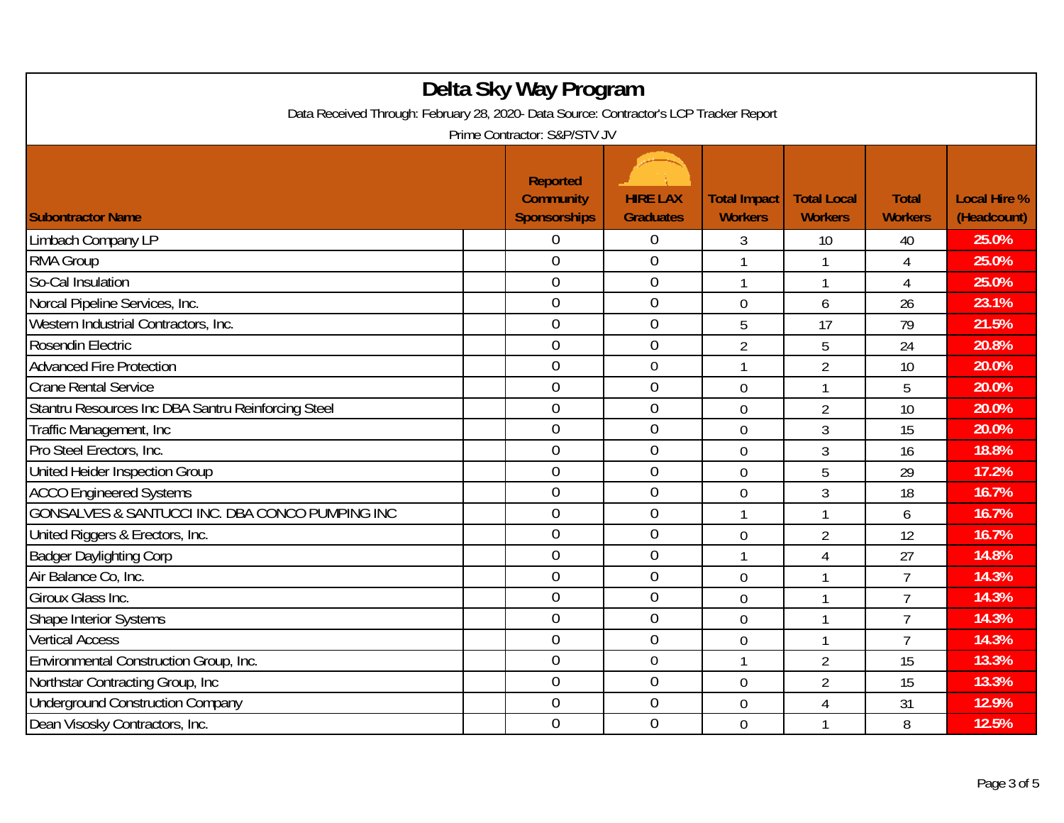| Delta Sky Way Program<br>Data Received Through: February 28, 2020- Data Source: Contractor's LCP Tracker Report |                                                                                            |                                     |                                       |                                      |                                |                                    |  |  |
|-----------------------------------------------------------------------------------------------------------------|--------------------------------------------------------------------------------------------|-------------------------------------|---------------------------------------|--------------------------------------|--------------------------------|------------------------------------|--|--|
| <b>Subontractor Name</b>                                                                                        | Prime Contractor: S&P/STV JV<br><b>Reported</b><br><b>Community</b><br><b>Sponsorships</b> | <b>HIRE LAX</b><br><b>Graduates</b> | <b>Total Impact</b><br><b>Workers</b> | <b>Total Local</b><br><b>Workers</b> | <b>Total</b><br><b>Workers</b> | <b>Local Hire %</b><br>(Headcount) |  |  |
| Limbach Company LP                                                                                              | 0                                                                                          | $\boldsymbol{0}$                    | 3                                     | 10                                   | 40                             | 25.0%                              |  |  |
| RMA Group                                                                                                       | $\overline{0}$                                                                             | $\overline{0}$                      | 1                                     |                                      | 4                              | 25.0%                              |  |  |
| So-Cal Insulation                                                                                               | $\overline{0}$                                                                             | $\theta$                            | 1                                     |                                      | $\overline{4}$                 | 25.0%                              |  |  |
| Norcal Pipeline Services, Inc.                                                                                  | $\mathbf 0$                                                                                | $\theta$                            | $\overline{0}$                        | 6                                    | 26                             | 23.1%                              |  |  |
| Western Industrial Contractors, Inc.                                                                            | $\overline{0}$                                                                             | $\overline{0}$                      | 5                                     | 17                                   | 79                             | 21.5%                              |  |  |
| Rosendin Electric                                                                                               | $\overline{0}$                                                                             | $\mathbf 0$                         | $\overline{2}$                        | 5                                    | 24                             | 20.8%                              |  |  |
| <b>Advanced Fire Protection</b>                                                                                 | $\mathbf 0$                                                                                | $\mathbf 0$                         | 1                                     | $\overline{2}$                       | 10                             | 20.0%                              |  |  |
| <b>Crane Rental Service</b>                                                                                     | $\overline{0}$                                                                             | $\mathbf 0$                         | $\overline{0}$                        |                                      | 5                              | 20.0%                              |  |  |
| Stantru Resources Inc DBA Santru Reinforcing Steel                                                              | $\boldsymbol{0}$                                                                           | $\boldsymbol{0}$                    | $\mathbf 0$                           | $\overline{2}$                       | 10                             | 20.0%                              |  |  |
| Traffic Management, Inc                                                                                         | $\boldsymbol{0}$                                                                           | $\theta$                            | 0                                     | $\overline{3}$                       | 15                             | 20.0%                              |  |  |
| Pro Steel Erectors, Inc.                                                                                        | $\overline{0}$                                                                             | $\overline{0}$                      | $\overline{0}$                        | $\overline{3}$                       | 16                             | 18.8%                              |  |  |
| United Heider Inspection Group                                                                                  | $\overline{0}$                                                                             | $\mathbf 0$                         | $\overline{0}$                        | 5                                    | 29                             | 17.2%                              |  |  |
| <b>ACCO Engineered Systems</b>                                                                                  | $\overline{0}$                                                                             | $\overline{0}$                      | $\overline{0}$                        | $\overline{3}$                       | 18                             | 16.7%                              |  |  |
| GONSALVES & SANTUCCI INC. DBA CONCO PUMPING INC                                                                 | $\boldsymbol{0}$                                                                           | $\mathbf 0$                         | 1                                     |                                      | 6                              | 16.7%                              |  |  |
| United Riggers & Erectors, Inc.                                                                                 | $\overline{0}$                                                                             | $\theta$                            | $\mathbf 0$                           | $\overline{2}$                       | 12                             | 16.7%                              |  |  |
| <b>Badger Daylighting Corp</b>                                                                                  | $\overline{0}$                                                                             | $\mathbf 0$                         | $\mathbf{1}$                          | $\overline{4}$                       | 27                             | 14.8%                              |  |  |
| Air Balance Co, Inc.                                                                                            | $\overline{0}$                                                                             | $\overline{0}$                      | $\overline{0}$                        |                                      | $\overline{7}$                 | 14.3%                              |  |  |
| Giroux Glass Inc.                                                                                               | $\overline{0}$                                                                             | $\overline{0}$                      | $\mathbf 0$                           |                                      | $\overline{7}$                 | 14.3%                              |  |  |
| <b>Shape Interior Systems</b>                                                                                   | $\overline{0}$                                                                             | $\theta$                            | $\overline{0}$                        | $\mathbf{1}$                         | $\overline{7}$                 | 14.3%                              |  |  |
| <b>Vertical Access</b>                                                                                          | $\overline{0}$                                                                             | $\boldsymbol{0}$                    | $\mathbf 0$                           |                                      | $\overline{7}$                 | 14.3%                              |  |  |
| Environmental Construction Group, Inc.                                                                          | $\overline{0}$                                                                             | $\boldsymbol{0}$                    | 1                                     | $\overline{2}$                       | 15                             | 13.3%                              |  |  |
| Northstar Contracting Group, Inc                                                                                | $\overline{0}$                                                                             | $\overline{0}$                      | $\overline{0}$                        | $\overline{2}$                       | 15                             | 13.3%                              |  |  |
| <b>Underground Construction Company</b>                                                                         | $\boldsymbol{0}$                                                                           | $\boldsymbol{0}$                    | 0                                     | 4                                    | 31                             | 12.9%                              |  |  |
| Dean Visosky Contractors, Inc.                                                                                  | $\overline{0}$                                                                             | $\mathbf{0}$                        | $\mathbf 0$                           |                                      | 8                              | 12.5%                              |  |  |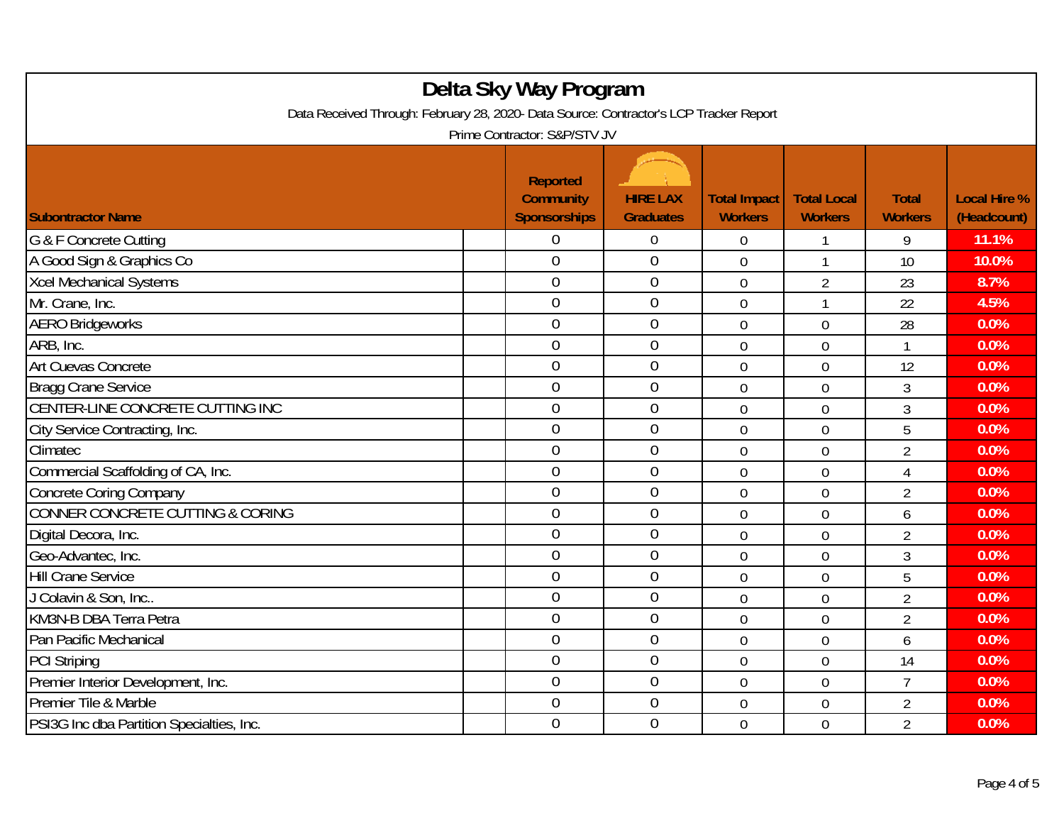| Delta Sky Way Program<br>Data Received Through: February 28, 2020- Data Source: Contractor's LCP Tracker Report<br>Prime Contractor: S&P/STV JV |  |                                                            |                                     |                                       |                                      |                                |                                    |  |
|-------------------------------------------------------------------------------------------------------------------------------------------------|--|------------------------------------------------------------|-------------------------------------|---------------------------------------|--------------------------------------|--------------------------------|------------------------------------|--|
| <b>Subontractor Name</b>                                                                                                                        |  | <b>Reported</b><br><b>Community</b><br><b>Sponsorships</b> | <b>HIRE LAX</b><br><b>Graduates</b> | <b>Total Impact</b><br><b>Workers</b> | <b>Total Local</b><br><b>Workers</b> | <b>Total</b><br><b>Workers</b> | <b>Local Hire %</b><br>(Headcount) |  |
| G & F Concrete Cutting                                                                                                                          |  | 0                                                          | $\boldsymbol{0}$                    | 0                                     |                                      | 9                              | 11.1%                              |  |
| A Good Sign & Graphics Co                                                                                                                       |  | $\overline{0}$                                             | $\boldsymbol{0}$                    | 0                                     |                                      | 10                             | 10.0%                              |  |
| <b>Xcel Mechanical Systems</b>                                                                                                                  |  | $\overline{0}$                                             | $\boldsymbol{0}$                    | $\overline{0}$                        | $\overline{2}$                       | 23                             | 8.7%                               |  |
| Mr. Crane, Inc.                                                                                                                                 |  | $\overline{0}$                                             | $\mathbf 0$                         | $\mathbf 0$                           | 1                                    | 22                             | 4.5%                               |  |
| <b>AERO Bridgeworks</b>                                                                                                                         |  | $\overline{0}$                                             | $\overline{0}$                      | $\mathbf 0$                           | $\mathbf 0$                          | 28                             | 0.0%                               |  |
| ARB, Inc.                                                                                                                                       |  | $\boldsymbol{0}$                                           | $\boldsymbol{0}$                    | 0                                     | $\mathbf 0$                          | 1                              | 0.0%                               |  |
| Art Cuevas Concrete                                                                                                                             |  | $\mathbf 0$                                                | $\mathbf{0}$                        | $\overline{0}$                        | $\mathbf 0$                          | 12                             | 0.0%                               |  |
| <b>Bragg Crane Service</b>                                                                                                                      |  | $\overline{0}$                                             | $\mathbf 0$                         | $\mathbf 0$                           | $\mathbf 0$                          | 3                              | 0.0%                               |  |
| CENTER-LINE CONCRETE CUTTING INC                                                                                                                |  | 0                                                          | $\mathbf 0$                         | 0                                     | $\mathbf 0$                          | 3                              | 0.0%                               |  |
| City Service Contracting, Inc.                                                                                                                  |  | $\mathbf 0$                                                | $\mathbf 0$                         | $\overline{0}$                        | $\overline{0}$                       | 5                              | 0.0%                               |  |
| Climatec                                                                                                                                        |  | $\overline{0}$                                             | $\mathbf 0$                         | $\overline{0}$                        | $\overline{0}$                       | $\overline{2}$                 | 0.0%                               |  |
| Commercial Scaffolding of CA, Inc.                                                                                                              |  | $\overline{0}$                                             | $\mathbf{0}$                        | $\overline{0}$                        | $\overline{0}$                       | $\overline{4}$                 | 0.0%                               |  |
| Concrete Coring Company                                                                                                                         |  | $\overline{0}$                                             | $\mathbf 0$                         | $\overline{0}$                        | $\mathbf 0$                          | $\overline{2}$                 | 0.0%                               |  |
| <b>CONNER CONCRETE CUTTING &amp; CORING</b>                                                                                                     |  | $\overline{0}$                                             | $\mathbf 0$                         | $\mathbf 0$                           | $\mathbf 0$                          | 6                              | 0.0%                               |  |
| Digital Decora, Inc.                                                                                                                            |  | $\mathbf 0$                                                | $\boldsymbol{0}$                    | 0                                     | $\mathbf 0$                          | $\overline{2}$                 | 0.0%                               |  |
| Geo-Advantec, Inc.                                                                                                                              |  | $\overline{0}$                                             | $\mathbf 0$                         | $\overline{0}$                        | $\overline{0}$                       | 3                              | 0.0%                               |  |
| <b>Hill Crane Service</b>                                                                                                                       |  | $\overline{0}$                                             | $\mathbf 0$                         | $\mathbf 0$                           | $\mathbf 0$                          | 5                              | 0.0%                               |  |
| J Colavin & Son, Inc                                                                                                                            |  | $\overline{0}$                                             | $\mathbf 0$                         | $\overline{0}$                        | $\overline{0}$                       | $\overline{2}$                 | 0.0%                               |  |
| KM3N-B DBA Terra Petra                                                                                                                          |  | $\overline{0}$                                             | $\overline{0}$                      | $\mathbf 0$                           | $\mathbf 0$                          | $\overline{2}$                 | 0.0%                               |  |
| Pan Pacific Mechanical                                                                                                                          |  | $\overline{0}$                                             | $\boldsymbol{0}$                    | $\mathbf 0$                           | $\boldsymbol{0}$                     | 6                              | 0.0%                               |  |
| <b>PCI Striping</b>                                                                                                                             |  | $\mathbf 0$                                                | $\boldsymbol{0}$                    | $\overline{0}$                        | $\boldsymbol{0}$                     | 14                             | 0.0%                               |  |
| Premier Interior Development, Inc.                                                                                                              |  | $\overline{0}$                                             | $\mathbf 0$                         | 0                                     | $\mathbf 0$                          | $\overline{7}$                 | 0.0%                               |  |
| Premier Tile & Marble                                                                                                                           |  | $\overline{0}$                                             | $\mathbf 0$                         | $\overline{0}$                        | $\mathbf 0$                          | $\overline{2}$                 | 0.0%                               |  |
| PSI3G Inc dba Partition Specialties, Inc.                                                                                                       |  | $\mathbf 0$                                                | $\boldsymbol{0}$                    | $\overline{0}$                        | $\mathbf 0$                          | $\overline{2}$                 | 0.0%                               |  |